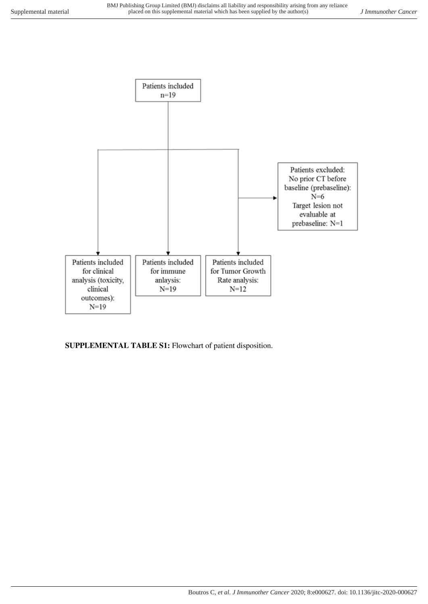

SUPPLEMENTAL TABLE S1: Flowchart of patient disposition.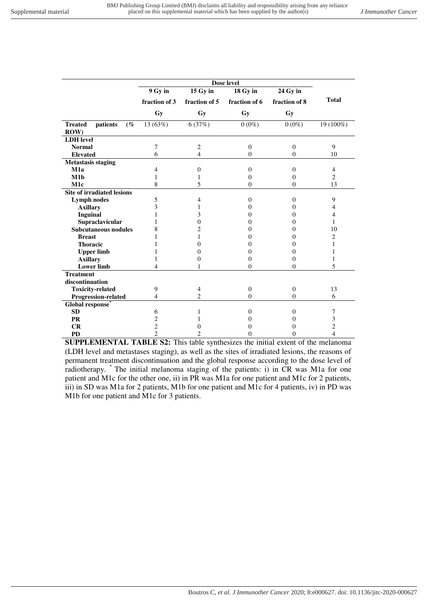|                                   | Dose level     |                |                   |                |                |
|-----------------------------------|----------------|----------------|-------------------|----------------|----------------|
|                                   | 9 Gy in        | $15$ Gy in     | 18 Gy in          | 24 Gy in       |                |
|                                   | fraction of 3  | fraction of 5  | fraction of 6     | fraction of 8  | <b>Total</b>   |
|                                   | <b>Gy</b>      | <b>Gy</b>      | Gy                | Gy             |                |
| patients<br><b>Treated</b><br>(%  | 13 (63%)       | 6(37%)         | $0(0\%)$          | $0(0\%)$       | 19 (100%)      |
| ROW)                              |                |                |                   |                |                |
| <b>LDH</b> level                  |                |                |                   |                |                |
| <b>Normal</b>                     | 7              | 2              | $\boldsymbol{0}$  | $\mathbf{0}$   | 9              |
| <b>Elevated</b>                   | 6              | $\overline{4}$ | $\Omega$          | $\theta$       | 10             |
| <b>Metastasis staging</b>         |                |                |                   |                |                |
| M1a                               | 4              | $\mathbf{0}$   | 0                 | $\mathbf{0}$   | $\overline{4}$ |
| M1b                               | 1              | 1              | 0                 | $\Omega$       | $\overline{2}$ |
| M1c                               | 8              | 5              | $\mathbf{0}$      | $\Omega$       | 13             |
| <b>Site of irradiated lesions</b> |                |                |                   |                |                |
| <b>Lymph nodes</b>                | 5              | 4              | $\Omega$          | $\mathbf{0}$   | 9              |
| <b>Axillary</b>                   | 3              |                | $_{0}$            | $\Omega$       | 4              |
| <b>Inguinal</b>                   |                | 3              | 0                 | $\theta$       | 4              |
| Supraclavicular                   |                | $\Omega$       | 0                 | 0              | 1              |
| <b>Subcutaneous nodules</b>       | 8              | 2              | 0                 | 0              | 10             |
| <b>Breast</b>                     |                | 1              | 0                 | 0              | 2              |
| <b>Thoracic</b>                   |                | 0              | 0                 | $\Omega$       | 1              |
| <b>Upper limb</b>                 |                | 0              | 0                 | $\overline{0}$ | 1              |
| <b>Axillary</b>                   | 1              | 0              | 0                 | $\Omega$       | 1              |
| <b>Lower limb</b>                 | 4              |                | $\mathbf{0}$      | $\theta$       | 5              |
| <b>Treatment</b>                  |                |                |                   |                |                |
| discontinuation                   |                |                |                   |                |                |
| <b>Toxicity-related</b>           | 9              | 4              | $\theta$          | $\mathbf{0}$   | 13             |
| Progression-related               | 4              | $\mathfrak{D}$ | 0                 | $\theta$       | 6              |
| Global response <sup>®</sup>      |                |                |                   |                |                |
| <b>SD</b>                         | 6              |                | 0                 | $\Omega$       | 7              |
| <b>PR</b>                         | $\overline{c}$ |                | $\mathbf{\Omega}$ | 0              | 3              |
| CR                                | $\overline{c}$ | 0              | 0                 | 0              | $\overline{c}$ |
| <b>PD</b>                         | $\overline{2}$ | $\mathfrak{D}$ | 0                 | 0              | 4              |

**SUPPLEMENTAL TABLE S2:** This table synthesizes the initial extent of the melanoma (LDH level and metastases staging), as well as the sites of irradiated lesions, the reasons of permanent treatment discontinuation and the global response according to the dose level of radiotherapy. \* The initial melanoma staging of the patients: i) in CR was M1a for one patient and M1c for the other one, ii) in PR was M1a for one patient and M1c for 2 patients, iii) in SD was M1a for 2 patients, M1b for one patient and M1c for 4 patients, iv) in PD was M1b for one patient and M1c for 3 patients.